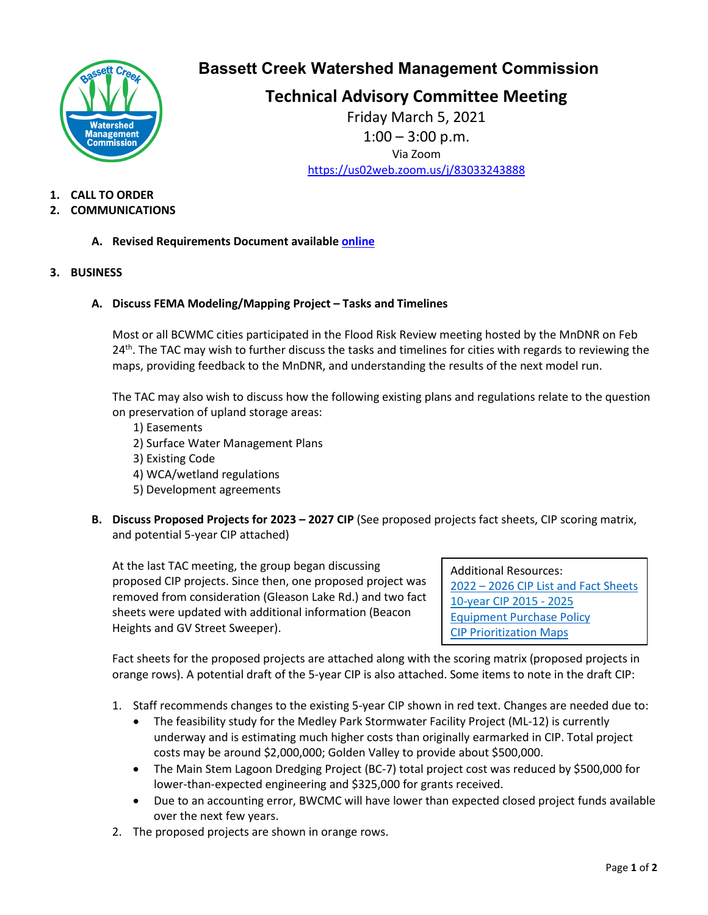

## **Bassett Creek Watershed Management Commission**

# **Technical Advisory Committee Meeting**

Friday March 5, 2021  $1:00 - 3:00$  p.m. Via Zoom <https://us02web.zoom.us/j/83033243888>

**1. CALL TO ORDER**

## **2. COMMUNICATIONS**

- **A. Revised Requirements Document availabl[e online](https://www.bassettcreekwmo.org/application/files/9216/1409/7544/Feb_2021_BCWMC_Requirements_Document_Revised.pdf)**
- **3. BUSINESS**

## **A. Discuss FEMA Modeling/Mapping Project – Tasks and Timelines**

Most or all BCWMC cities participated in the Flood Risk Review meeting hosted by the MnDNR on Feb  $24<sup>th</sup>$ . The TAC may wish to further discuss the tasks and timelines for cities with regards to reviewing the maps, providing feedback to the MnDNR, and understanding the results of the next model run.

The TAC may also wish to discuss how the following existing plans and regulations relate to the question on preservation of upland storage areas:

- 1) Easements
- 2) Surface Water Management Plans
- 3) Existing Code
- 4) WCA/wetland regulations
- 5) Development agreements
- **B. Discuss Proposed Projects for 2023 – 2027 CIP** (See proposed projects fact sheets, CIP scoring matrix, and potential 5-year CIP attached)

At the last TAC meeting, the group began discussing proposed CIP projects. Since then, one proposed project was removed from consideration (Gleason Lake Rd.) and two fact sheets were updated with additional information (Beacon Heights and GV Street Sweeper).

Additional Resources: 2022 – [2026 CIP List and Fact Sheets](https://www.bassettcreekwmo.org/application/files/9715/9811/1216/Final_2022-2026_CIP_List__Fact_Sheets.pdf) [10-year CIP 2015 -](https://www.bassettcreekwmo.org/application/files/9616/0079/2044/Table_5-3_Revised_Aug_2020.pdf) 2025 [Equipment Purchase Policy](https://www.bassettcreekwmo.org/application/files/6615/8741/7179/Equip_Purchase_Policy_2020.pdf) [CIP Prioritization Maps](https://www.bassettcreekwmo.org/application/files/8116/1167/6667/BCWMC_CIP_Prioritization_Maps_sm_file.pdf)

Fact sheets for the proposed projects are attached along with the scoring matrix (proposed projects in orange rows). A potential draft of the 5-year CIP is also attached. Some items to note in the draft CIP:

- 1. Staff recommends changes to the existing 5-year CIP shown in red text. Changes are needed due to:
	- The feasibility study for the Medley Park Stormwater Facility Project (ML-12) is currently underway and is estimating much higher costs than originally earmarked in CIP. Total project costs may be around \$2,000,000; Golden Valley to provide about \$500,000.
	- The Main Stem Lagoon Dredging Project (BC-7) total project cost was reduced by \$500,000 for lower-than-expected engineering and \$325,000 for grants received.
	- Due to an accounting error, BWCMC will have lower than expected closed project funds available over the next few years.
- 2. The proposed projects are shown in orange rows.